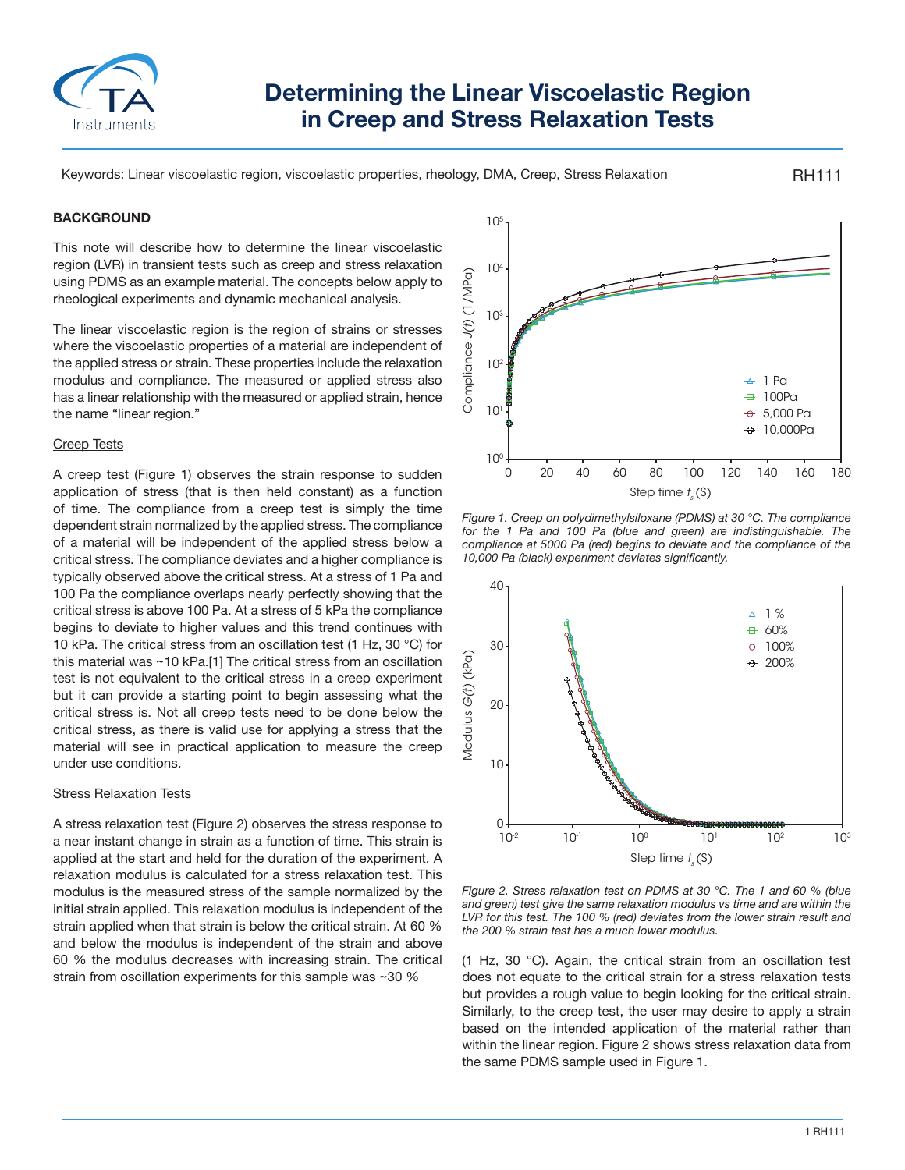

# **Determining the Linear Viscoelastic Region in Creep and Stress Relaxation Tests**

Keywords: Linear viscoelastic region, viscoelastic properties, rheology, DMA, Creep, Stress Relaxation

# **BACKGROUND**

This note will describe how to determine the linear viscoelastic region (LVR) in transient tests such as creep and stress relaxation using PDMS as an example material. The concepts below apply to rheological experiments and dynamic mechanical analysis.

The linear viscoelastic region is the region of strains or stresses where the viscoelastic properties of a material are independent of the applied stress or strain. These properties include the relaxation modulus and compliance. The measured or applied stress also has a linear relationship with the measured or applied strain, hence the name "linear region."

#### Creep Tests

A creep test (Figure 1) observes the strain response to sudden application of stress (that is then held constant) as a function of time. The compliance from a creep test is simply the time dependent strain normalized by the applied stress. The compliance of a material will be independent of the applied stress below a critical stress. The compliance deviates and a higher compliance is typically observed above the critical stress. At a stress of 1 Pa and 100 Pa the compliance overlaps nearly perfectly showing that the critical stress is above 100 Pa. At a stress of 5 kPa the compliance begins to deviate to higher values and this trend continues with 10 kPa. The critical stress from an oscillation test (1 Hz, 30 °C) for this material was ~10 kPa.[1] The critical stress from an oscillation test is not equivalent to the critical stress in a creep experiment but it can provide a starting point to begin assessing what the critical stress is. Not all creep tests need to be done below the critical stress, as there is valid use for applying a stress that the material will see in practical application to measure the creep under use conditions.

#### Stress Relaxation Tests

A stress relaxation test (Figure 2) observes the stress response to a near instant change in strain as a function of time. This strain is applied at the start and held for the duration of the experiment. A relaxation modulus is calculated for a stress relaxation test. This modulus is the measured stress of the sample normalized by the initial strain applied. This relaxation modulus is independent of the strain applied when that strain is below the critical strain. At 60 % and below the modulus is independent of the strain and above 60 % the modulus decreases with increasing strain. The critical strain from oscillation experiments for this sample was ~30 %



RH111

*Figure 1. Creep on polydimethylsiloxane (PDMS) at 30 °C. The compliance for the 1 Pa and 100 Pa (blue and green) are indistinguishable. The compliance at 5000 Pa (red) begins to deviate and the compliance of the 10,000 Pa (black) experiment deviates significantly.*



*Figure 2. Stress relaxation test on PDMS at 30 °C. The 1 and 60 % (blue and green) test give the same relaxation modulus vs time and are within the LVR for this test. The 100 % (red) deviates from the lower strain result and the 200 % strain test has a much lower modulus.*

(1 Hz, 30 °C). Again, the critical strain from an oscillation test does not equate to the critical strain for a stress relaxation tests but provides a rough value to begin looking for the critical strain. Similarly, to the creep test, the user may desire to apply a strain based on the intended application of the material rather than within the linear region. Figure 2 shows stress relaxation data from